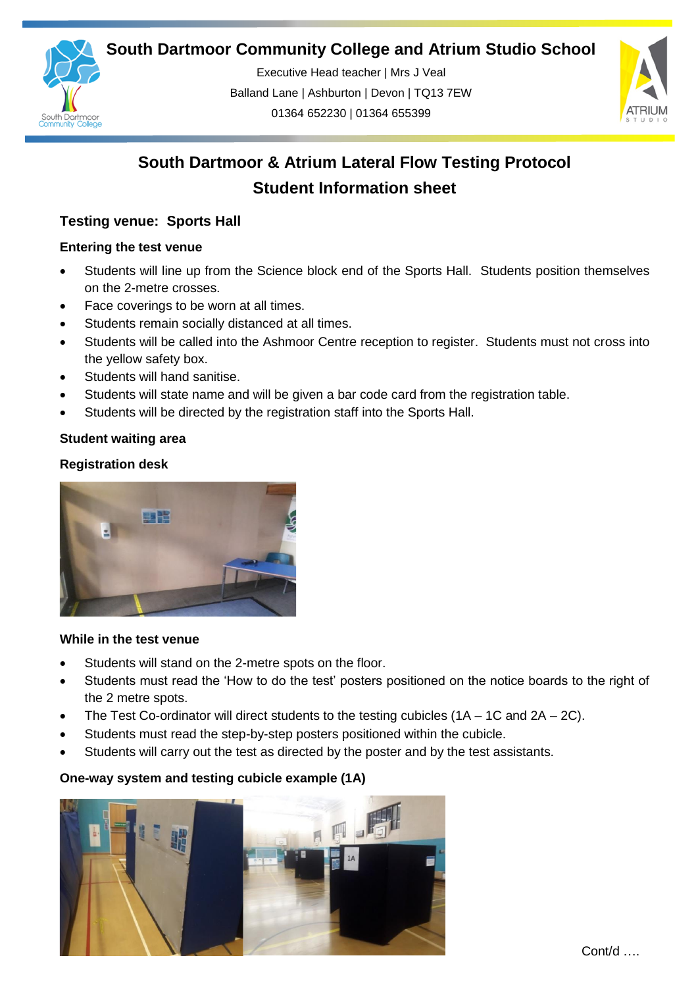**South Dartmoor Community College and Atrium Studio School** 



Executive Head teacher | Mrs J Veal Balland Lane | Ashburton | Devon | TQ13 7EW 01364 652230 | 01364 655399

ww.south.co.uk | [www.atrium-studio.co.uk](http://www.atrium-studio.co.uk/) | www.atrium-studio.co.uk



# **South Dartmoor & Atrium Lateral Flow Testing Protocol Student Information sheet**

## **Testing venue: Sports Hall**

## **Entering the test venue**

- Students will line up from the Science block end of the Sports Hall. Students position themselves on the 2-metre crosses.
- Face coverings to be worn at all times.
- Students remain socially distanced at all times.
- Students will be called into the Ashmoor Centre reception to register. Students must not cross into the yellow safety box.
- Students will hand sanitise.
- Students will state name and will be given a bar code card from the registration table.
- Students will be directed by the registration staff into the Sports Hall.

## **Student waiting area**

## **Registration desk**



## **While in the test venue**

- Students will stand on the 2-metre spots on the floor.
- Students must read the 'How to do the test' posters positioned on the notice boards to the right of the 2 metre spots.
- The Test Co-ordinator will direct students to the testing cubicles  $(1A 1C \text{ and } 2A 2C)$ .
- Students must read the step-by-step posters positioned within the cubicle.
- Students will carry out the test as directed by the poster and by the test assistants.

## **One-way system and testing cubicle example (1A)**